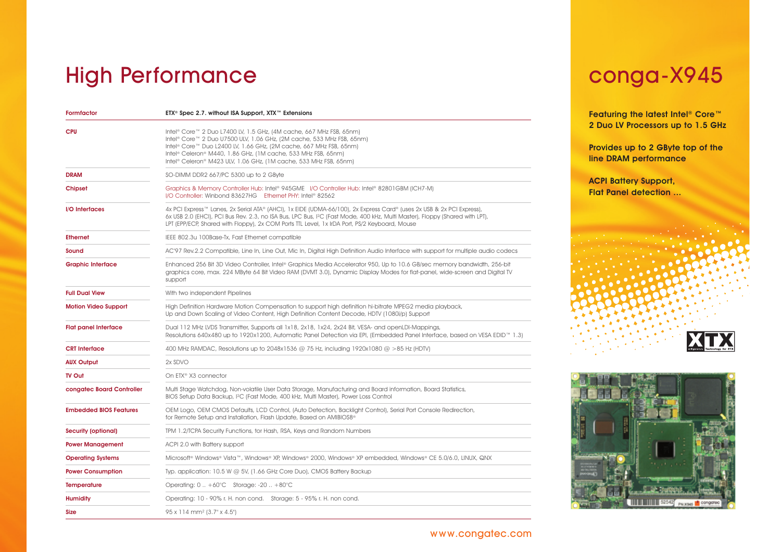# High Performance [conga-X945](http://www.tracksblue.net/congatec/pg2009/?n=703412375)

| Formfactor                    | ETX® Spec 2.7. without ISA Support, XTX™ Extensions                                                                                                                                                                                                                                                                                                                  |
|-------------------------------|----------------------------------------------------------------------------------------------------------------------------------------------------------------------------------------------------------------------------------------------------------------------------------------------------------------------------------------------------------------------|
| <b>CPU</b>                    | Intel® Core™ 2 Duo L7400 LV, 1.5 GHz, (4M cache, 667 MHz FSB, 65nm)<br>Intel® Core™ 2 Duo U7500 ULV, 1.06 GHz, (2M cache, 533 MHz FSB, 65nm)<br>Intel® Core™ Duo L2400 LV, 1.66 GHz, (2M cache, 667 MHz FSB, 65nm)<br>Intel <sup>®</sup> Celeron® M440, 1.86 GHz, (1M cache, 533 MHz FSB, 65nm)<br>Intel® Celeron® M423 ULV, 1.06 GHz, (1M cache, 533 MHz FSB, 65nm) |
| <b>DRAM</b>                   | SO-DIMM DDR2 667/PC 5300 up to 2 GByte                                                                                                                                                                                                                                                                                                                               |
| Chipset                       | Graphics & Memory Controller Hub: Intel® 945GME I/O Controller Hub: Intel® 82801GBM (ICH7-M)<br>I/O Controller: Winbond 83627HG Ethernet PHY: Intel® 82562                                                                                                                                                                                                           |
| I/O Interfaces                | 4x PCI Express™ Lanes, 2x Serial ATA® (AHCI), 1x EIDE (UDMA-66/100), 2x Express Card® (uses 2x USB & 2x PCI Express),<br>6x USB 2.0 (EHCI), PCI Bus Rev. 2.3, no ISA Bus, LPC Bus, I <sup>2</sup> C (Fast Mode, 400 kHz, Multi Master), Floppy (Shared with LPT),<br>LPT (EPP/ECP, Shared with Floppy), 2x COM Ports TTL Level, 1x IrDA Port, PS/2 Keyboard, Mouse   |
| <b>Ethernet</b>               | IEEE 802.3u 100Base-Tx, Fast Ethernet compatible                                                                                                                                                                                                                                                                                                                     |
| Sound                         | AC'97 Rev.2.2 Compatible, Line In, Line Out, Mic In, Digital High Definition Audio Interface with support for multiple audio codecs                                                                                                                                                                                                                                  |
| <b>Graphic Interface</b>      | Enhanced 256 Bit 3D Video Controller, Intel® Graphics Media Accelerator 950, Up to 10.6 GB/sec memory bandwidth, 256-bit<br>graphics core, max. 224 MByte 64 Bit Video RAM (DVMT 3.0), Dynamic Display Modes for flat-panel, wide-screen and Digital TV<br>support                                                                                                   |
| <b>Full Dual View</b>         | With two independent Pipelines                                                                                                                                                                                                                                                                                                                                       |
| <b>Motion Video Support</b>   | High Definition Hardware Motion Compensation to support high definition hi-bitrate MPEG2 media playback,<br>Up and Down Scaling of Video Content, High Definition Content Decode, HDTV (1080i/p) Support                                                                                                                                                             |
| <b>Flat panel Interface</b>   | Dual 112 MHz LVDS Transmitter, Supports all 1x18, 2x18, 1x24, 2x24 Bit, VESA- and openLDI-Mappings,<br>Resolutions 640x480 up to 1920x1200, Automatic Panel Detection via EPI, (Embedded Panel Interface, based on VESA EDID <sup>114</sup> 1.3)                                                                                                                     |
| <b>CRT</b> Interface          | 400 MHz RAMDAC, Resolutions up to 2048x1536 @ 75 Hz, including 1920x1080 @ >85 Hz (HDTV)                                                                                                                                                                                                                                                                             |
| <b>AUX Output</b>             | 2x SDVO                                                                                                                                                                                                                                                                                                                                                              |
| <b>TV Out</b>                 | On ETX <sup>®</sup> X3 connector                                                                                                                                                                                                                                                                                                                                     |
| congatec Board Controller     | Multi Stage Watchdog, Non-volatile User Data Storage, Manufacturing and Board information, Board Statistics,<br>BIOS Setup Data Backup, 1 <sup>2</sup> C (Fast Mode, 400 kHz, Multi Master), Power Loss Control                                                                                                                                                      |
| <b>Embedded BIOS Features</b> | OEM Logo, OEM CMOS Defaults, LCD Control, (Auto Detection, Backlight Control), Serial Port Console Redirection,<br>for Remote Setup and Installation, Flash Update, Based on AMIBIOS8 <sup>®</sup>                                                                                                                                                                   |
| Security (optional)           | TPM 1.2/TCPA Security Functions, tor Hash, RSA, Keys and Random Numbers                                                                                                                                                                                                                                                                                              |
| <b>Power Management</b>       | ACPI 2.0 with Battery support                                                                                                                                                                                                                                                                                                                                        |
| <b>Operating Systems</b>      | Microsoft® Windows® Vista™, Windows® XP, Windows® 2000, Windows® XP embedded, Windows® CE 5.0/6.0, LINUX, QNX                                                                                                                                                                                                                                                        |
| <b>Power Consumption</b>      | Typ. application: 10.5 W @ 5V, (1.66 GHz Core Duo), CMOS Battery Backup                                                                                                                                                                                                                                                                                              |
| <b>Temperature</b>            | Operating: $0.1 + 60^{\circ}$ C Storage: -20 +80 $^{\circ}$ C                                                                                                                                                                                                                                                                                                        |
| Humidity                      | Operating: 10 - 90% r. H. non cond. Storage: 5 - 95% r. H. non cond.                                                                                                                                                                                                                                                                                                 |
| <b>Size</b>                   | 95 x 114 mm <sup>2</sup> (3.7" x 4.5")                                                                                                                                                                                                                                                                                                                               |

Featuring the latest Intel<sup>®</sup> Core™ 2 Duo LV Processors up to 1.5 GHz

Provides up to 2 GByte top of the line DRAM performance

ACPI Battery Support, Flat Panel detection ...





## [www.congatec.com](http://www.congatec.com)